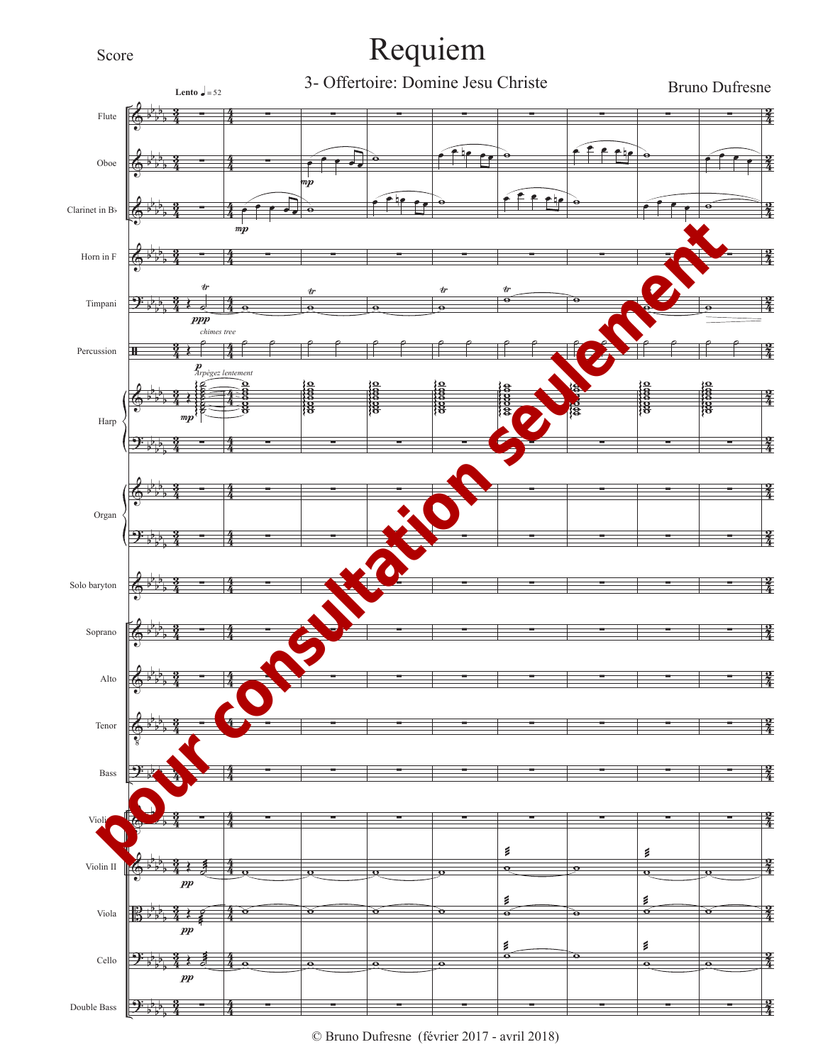## Score

## Requiem

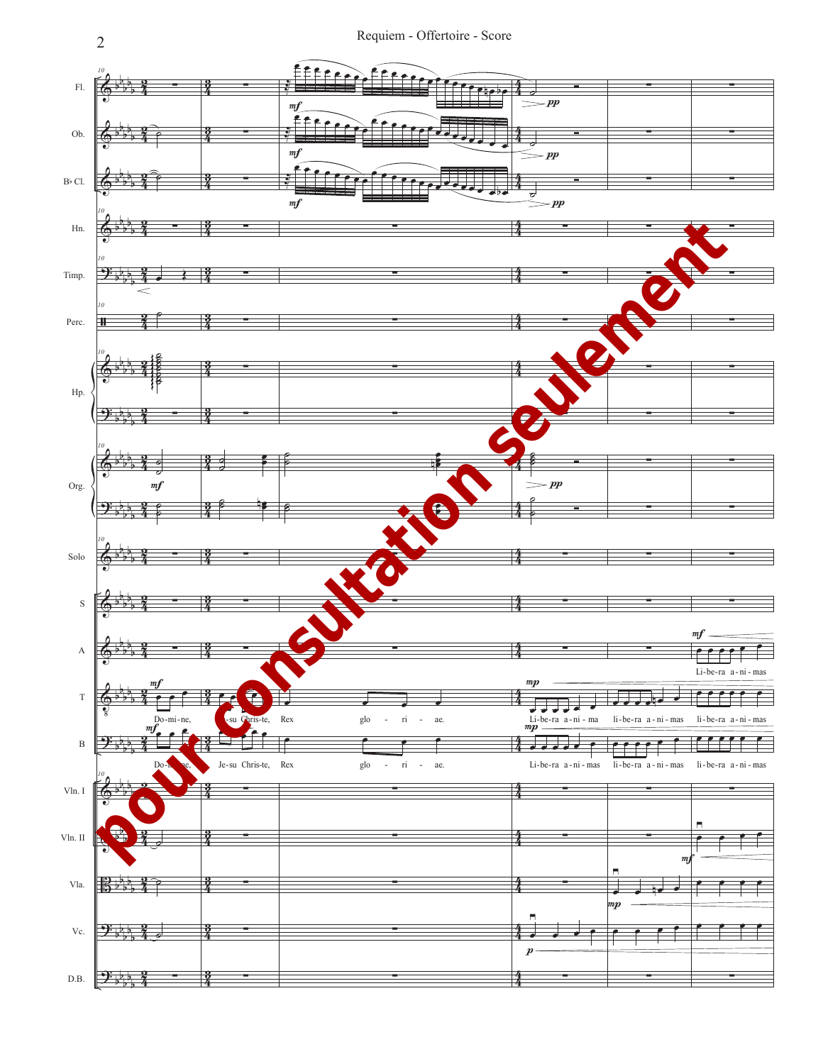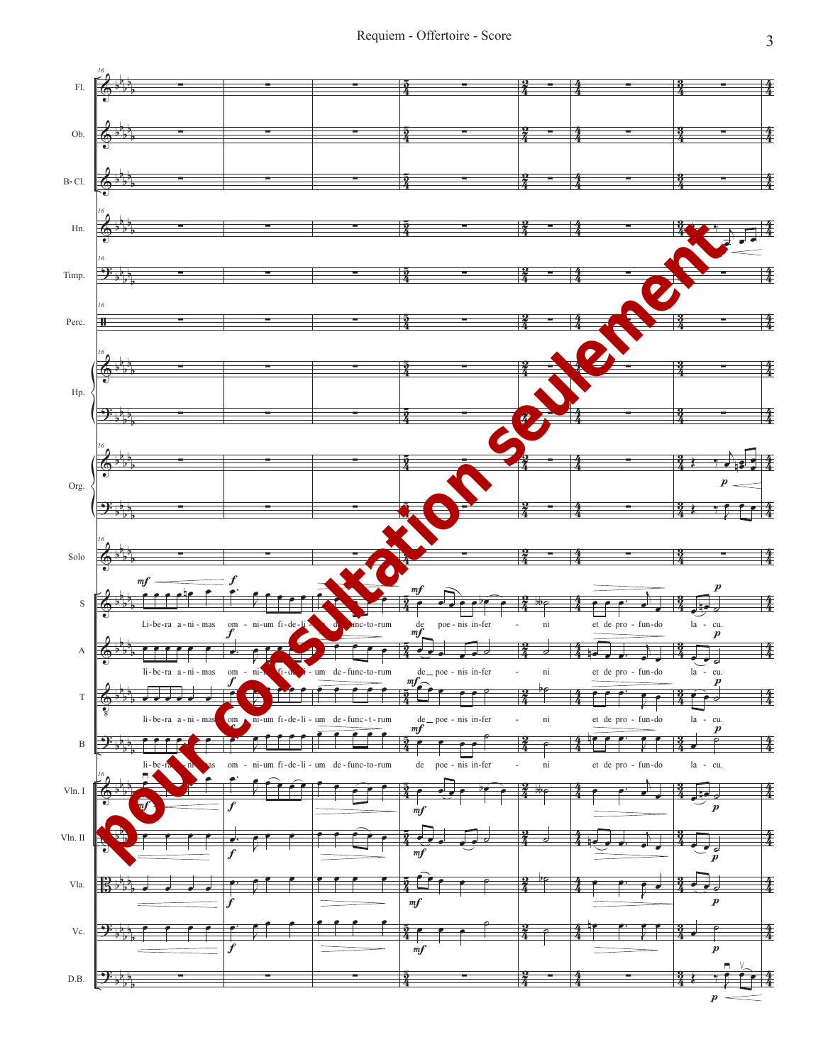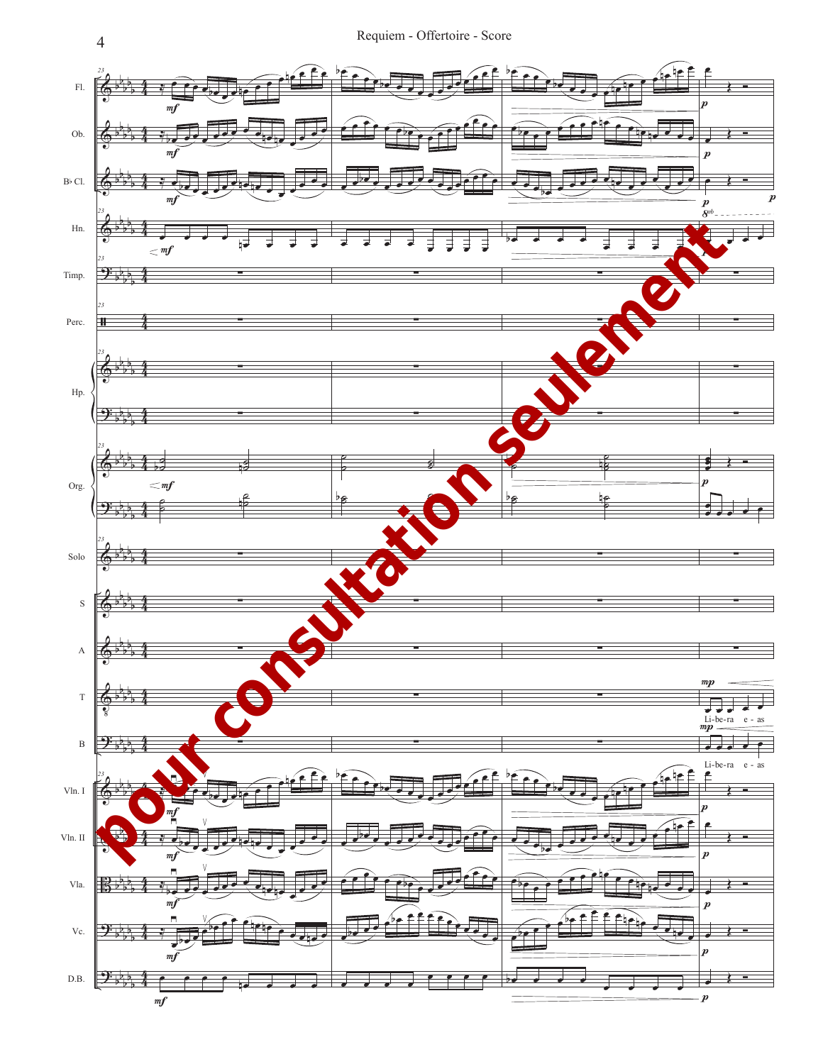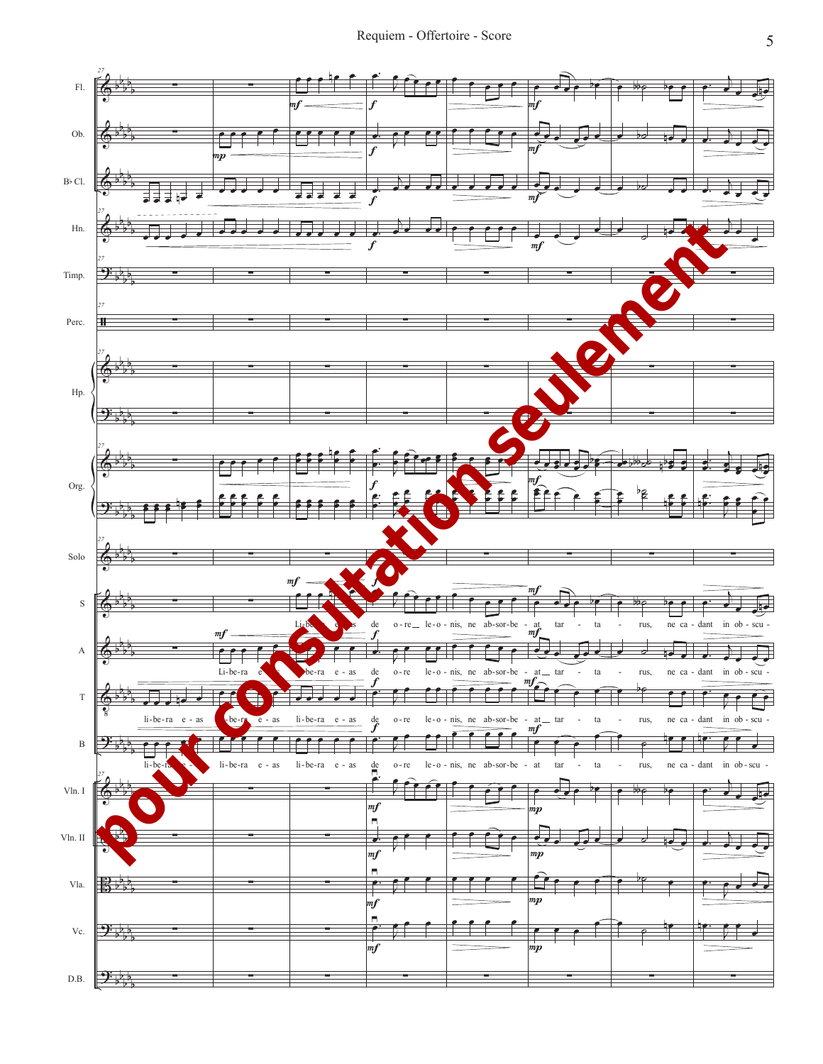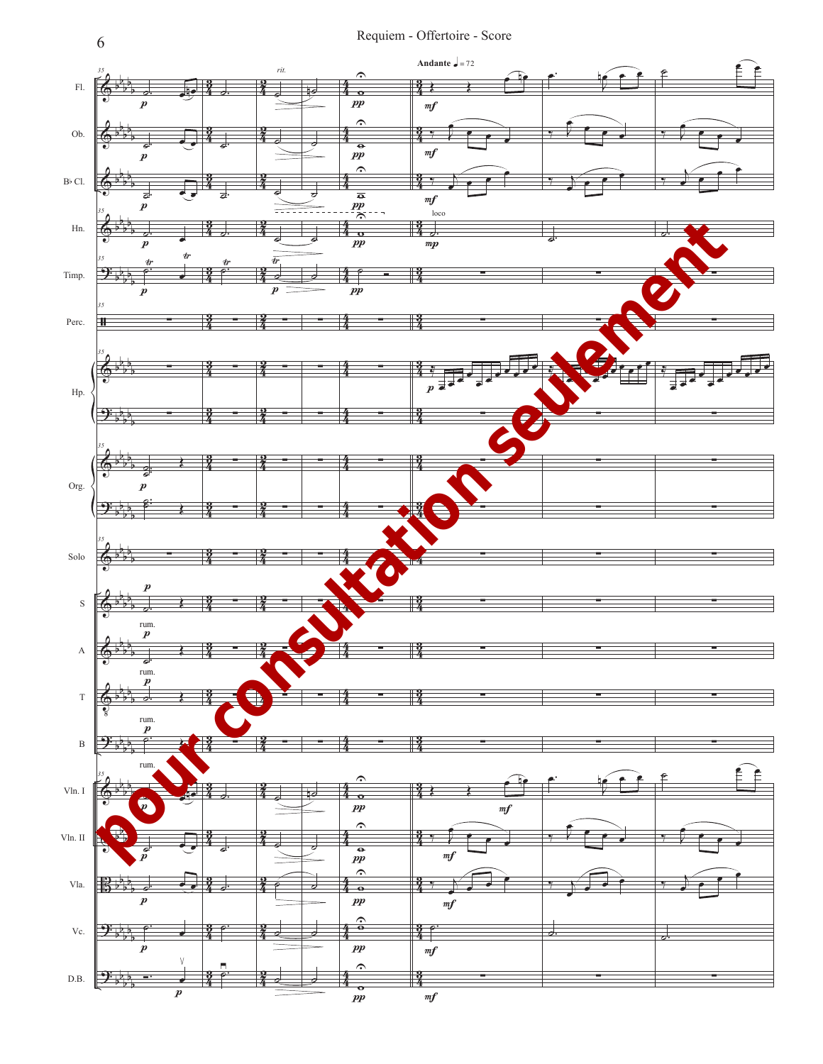